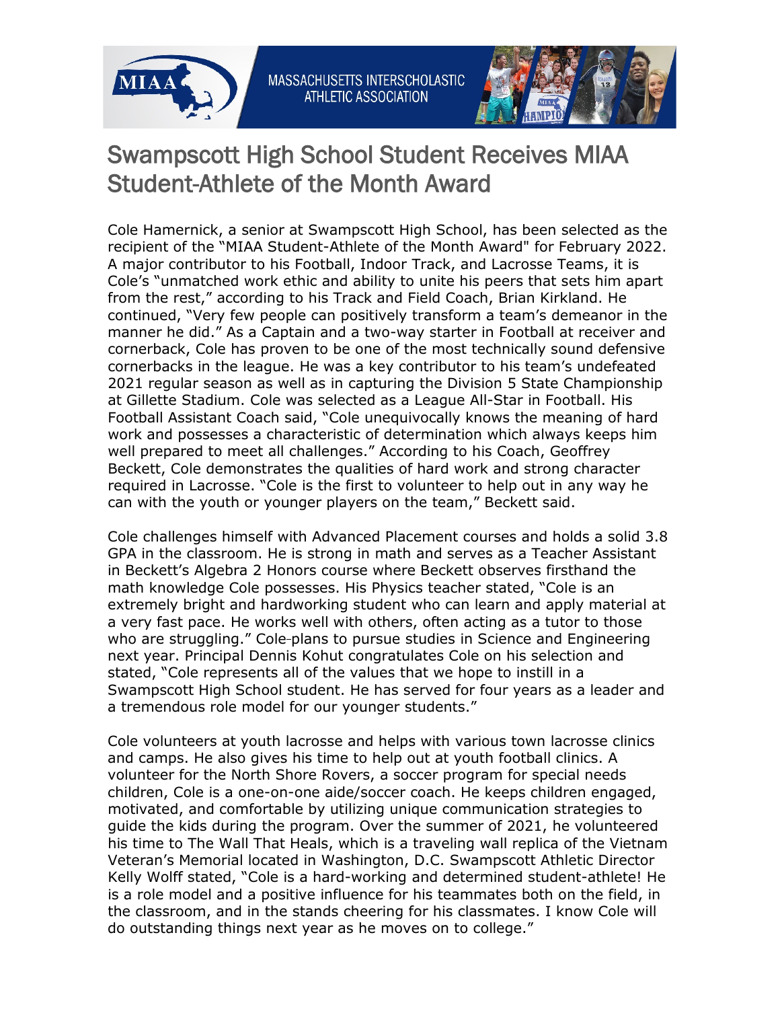



## Swampscott High School Student Receives MIAA Student-Athlete of the Month Award

Cole Hamernick, a senior at Swampscott High School, has been selected as the recipient of the "MIAA Student-Athlete of the Month Award" for February 2022. A major contributor to his Football, Indoor Track, and Lacrosse Teams, it is Cole's "unmatched work ethic and ability to unite his peers that sets him apart from the rest," according to his Track and Field Coach, Brian Kirkland. He continued, "Very few people can positively transform a team's demeanor in the manner he did." As a Captain and a two-way starter in Football at receiver and cornerback, Cole has proven to be one of the most technically sound defensive cornerbacks in the league. He was a key contributor to his team's undefeated 2021 regular season as well as in capturing the Division 5 State Championship at Gillette Stadium. Cole was selected as a League All-Star in Football. His Football Assistant Coach said, "Cole unequivocally knows the meaning of hard work and possesses a characteristic of determination which always keeps him well prepared to meet all challenges." According to his Coach, Geoffrey Beckett, Cole demonstrates the qualities of hard work and strong character required in Lacrosse. "Cole is the first to volunteer to help out in any way he can with the youth or younger players on the team," Beckett said.

Cole challenges himself with Advanced Placement courses and holds a solid 3.8 GPA in the classroom. He is strong in math and serves as a Teacher Assistant in Beckett's Algebra 2 Honors course where Beckett observes firsthand the math knowledge Cole possesses. His Physics teacher stated, "Cole is an extremely bright and hardworking student who can learn and apply material at a very fast pace. He works well with others, often acting as a tutor to those who are struggling." Cole-plans to pursue studies in Science and Engineering next year. Principal Dennis Kohut congratulates Cole on his selection and stated, "Cole represents all of the values that we hope to instill in a Swampscott High School student. He has served for four years as a leader and a tremendous role model for our younger students."

Cole volunteers at youth lacrosse and helps with various town lacrosse clinics and camps. He also gives his time to help out at youth football clinics. A volunteer for the North Shore Rovers, a soccer program for special needs children, Cole is a one-on-one aide/soccer coach. He keeps children engaged, motivated, and comfortable by utilizing unique communication strategies to guide the kids during the program. Over the summer of 2021, he volunteered his time to The Wall That Heals, which is a traveling wall replica of the Vietnam Veteran's Memorial located in Washington, D.C. Swampscott Athletic Director Kelly Wolff stated, "Cole is a hard-working and determined student-athlete! He is a role model and a positive influence for his teammates both on the field, in the classroom, and in the stands cheering for his classmates. I know Cole will do outstanding things next year as he moves on to college."